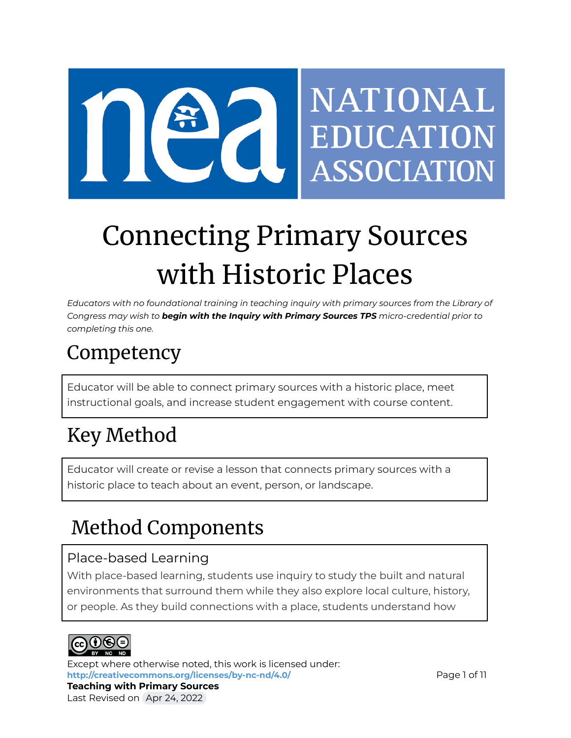

# Connecting Primary Sources with Historic Places

*Educators with no foundational training in teaching inquiry with primary sources from the Library of Congress may wish to begin with the Inquiry with Primary Sources TPS micro-credential prior to completing this one.*

# Competency

Educator will be able to connect primary sources with a historic place, meet instructional goals, and increase student engagement with course content.

# Key Method

Educator will create or revise a lesson that connects primary sources with a historic place to teach about an event, person, or landscape.

# Method Components

# Place-based Learning

With place-based learning, students use inquiry to study the built and natural environments that surround them while they also explore local culture, history, or people. As they build connections with a place, students understand how



Except where otherwise noted, this work is licensed under: <http://creativecommons.org/licenses/by-nc-nd/4.0/> **Page 1 of 11 Teaching with Primary Sources** Last Revised on Apr 24, 2022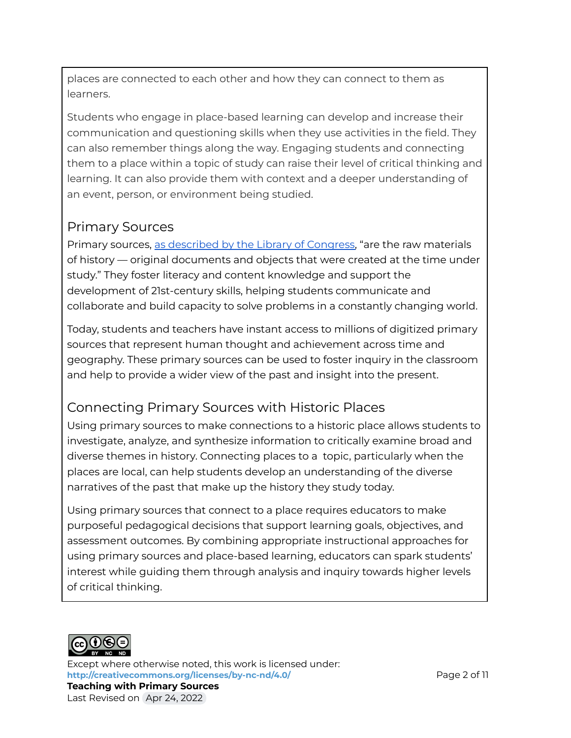places are connected to each other and how they can connect to them as learners.

Students who engage in place-based learning can develop and increase their communication and questioning skills when they use activities in the field. They can also remember things along the way. Engaging students and connecting them to a place within a topic of study can raise their level of critical thinking and learning. It can also provide them with context and a deeper understanding of an event, person, or environment being studied.

# Primary Sources

Primary sources, as [described](https://www.loc.gov/programs/teachers/getting-started-with-primary-sources/) by the Library of Congress, "are the raw materials of history — original documents and objects that were created at the time under study." They foster literacy and content knowledge and support the development of 21st-century skills, helping students communicate and collaborate and build capacity to solve problems in a constantly changing world.

Today, students and teachers have instant access to millions of digitized primary sources that represent human thought and achievement across time and geography. These primary sources can be used to foster inquiry in the classroom and help to provide a wider view of the past and insight into the present.

# Connecting Primary Sources with Historic Places

Using primary sources to make connections to a historic place allows students to investigate, analyze, and synthesize information to critically examine broad and diverse themes in history. Connecting places to a topic, particularly when the places are local, can help students develop an understanding of the diverse narratives of the past that make up the history they study today.

Using primary sources that connect to a place requires educators to make purposeful pedagogical decisions that support learning goals, objectives, and assessment outcomes. By combining appropriate instructional approaches for using primary sources and place-based learning, educators can spark students' interest while guiding them through analysis and inquiry towards higher levels of critical thinking.



Except where otherwise noted, this work is licensed under: **<http://creativecommons.org/licenses/by-nc-nd/4.0/>** Page 2 of 11 **Teaching with Primary Sources** Last Revised on Apr 24, 2022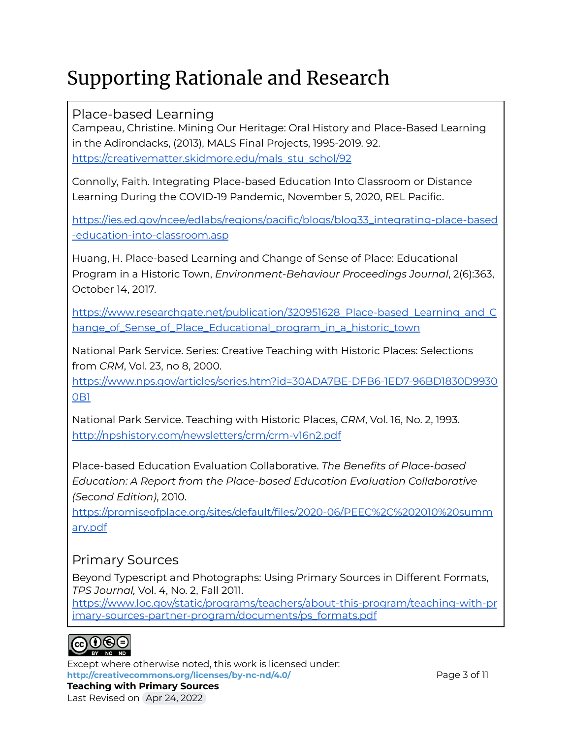# Supporting Rationale and Research

### Place-based Learning

Campeau, Christine. Mining Our Heritage: Oral History and Place-Based Learning in the Adirondacks, (2013), MALS Final Projects, 1995-2019. 92. [https://creativematter.skidmore.edu/mals\\_stu\\_schol/92](https://creativematter.skidmore.edu/mals_stu_schol/92)

Connolly, Faith. Integrating Place-based Education Into Classroom or Distance Learning During the COVID-19 Pandemic, November 5, 2020, REL Pacific.

[https://ies.ed.gov/ncee/edlabs/regions/pacific/blogs/blog33\\_integrating-place-based](https://ies.ed.gov/ncee/edlabs/regions/pacific/blogs/blog33_integrating-place-based-education-into-classroom.asp) [-education-into-classroom.asp](https://ies.ed.gov/ncee/edlabs/regions/pacific/blogs/blog33_integrating-place-based-education-into-classroom.asp)

Huang, H. Place-based Learning and Change of Sense of Place: Educational Program in a Historic Town, *Environment-Behaviour Proceedings Journal*, 2(6):363, October 14, 2017.

[https://www.researchgate.net/publication/320951628\\_Place-based\\_Learning\\_and\\_C](https://www.researchgate.net/publication/320951628_Place-based_Learning_and_Change_of_Sense_of_Place_Educational_program_in_a_historic_town) [hange\\_of\\_Sense\\_of\\_Place\\_Educational\\_program\\_in\\_a\\_historic\\_town](https://www.researchgate.net/publication/320951628_Place-based_Learning_and_Change_of_Sense_of_Place_Educational_program_in_a_historic_town)

National Park Service. Series: Creative Teaching with Historic Places: Selections from *CRM*, Vol. 23, no 8, 2000.

[https://www.nps.gov/articles/series.htm?id=30ADA7BE-DFB6-1ED7-96BD1830D9930](https://www.nps.gov/articles/series.htm?id=30ADA7BE-DFB6-1ED7-96BD1830D99300B1) [0B1](https://www.nps.gov/articles/series.htm?id=30ADA7BE-DFB6-1ED7-96BD1830D99300B1)

National Park Service. Teaching with Historic Places, *CRM*, Vol. 16, No. 2, 1993[.](http://npshistory.com/newsletters/crm/crm-v16n2.pdf) <http://npshistory.com/newsletters/crm/crm-v16n2.pdf>

Place-based Education Evaluation Collaborative. *The Benefits of Place-based Education: A Report from the Place-based Education Evaluation Collaborative (Second Edition)*, 2010[.](https://promiseofplace.org/research-evaluation/research-and-evaluation/benefits-of-place-based-learning-peec-report-2010)

[https://promiseofplace.org/sites/default/files/2020-06/PEEC%2C%202010%20summ](https://promiseofplace.org/sites/default/files/2020-06/PEEC%2C%202010%20summary.pdf) [ary.pdf](https://promiseofplace.org/sites/default/files/2020-06/PEEC%2C%202010%20summary.pdf)

### Primary Sources

Beyond Typescript and Photographs: Using Primary Sources in Different Formats, *TPS Journal,* Vol. 4, No. 2, Fall 2011[.](https://www.loc.gov/static/programs/teachers/about-this-program/teaching-with-primary-sources-partner-program/documents/ps_formats.pdf)

[https://www.loc.gov/static/programs/teachers/about-this-program/teaching-with-pr](https://www.loc.gov/static/programs/teachers/about-this-program/teaching-with-primary-sources-partner-program/documents/ps_formats.pdf) [imary-sources-partner-program/documents/ps\\_formats.pdf](https://www.loc.gov/static/programs/teachers/about-this-program/teaching-with-primary-sources-partner-program/documents/ps_formats.pdf)



Except where otherwise noted, this work is licensed under: **<http://creativecommons.org/licenses/by-nc-nd/4.0/>** Page 3 of 11 **Teaching with Primary Sources** Last Revised on Apr 24, 2022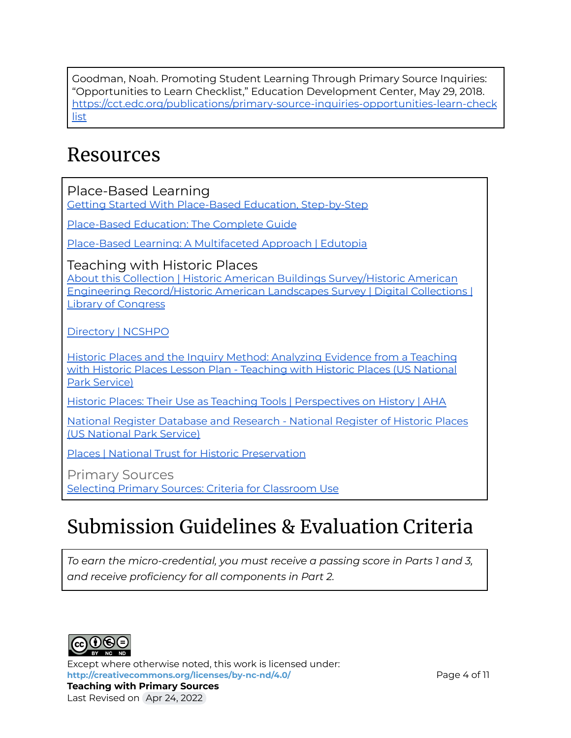Goodman, Noah. Promoting Student Learning Through Primary Source Inquiries: "Opportunities to Learn Checklist," Education Development Center, May 29, 2018. [https://cct.edc.org/publications/primary-source-inquiries-opportunities-learn-check](https://cct.edc.org/publications/primary-source-inquiries-opportunities-learn-checklist) [list](https://cct.edc.org/publications/primary-source-inquiries-opportunities-learn-checklist)

# Resources

Place-Based Learning

Getting Started With Place-Based Education, [Step-by-Step](https://www.tetonscience.org/getting-started-with-place-based-education-step-by-step/)

[Place-Based](https://www.educationcorner.com/place-based-education-guide.html) Education: The Complete Guide

Place-Based Learning: A [Multifaceted](https://www.edutopia.org/practice/place-based-learning-connecting-kids-their-community) Approach | Edutopia

Teaching with Historic Places

About this Collection | Historic American Buildings [Survey/Historic](https://www.loc.gov/collections/historic-american-buildings-landscapes-and-engineering-records/about-this-collection/) American Engineering [Record/Historic](https://www.loc.gov/collections/historic-american-buildings-landscapes-and-engineering-records/about-this-collection/) American Landscapes Survey | Digital Collections | Library of [Congress](https://www.loc.gov/collections/historic-american-buildings-landscapes-and-engineering-records/about-this-collection/)

[Directory](https://ncshpo.org/directory/) | NCSHPO

Historic Places and the Inquiry Method: [Analyzing](https://www.nps.gov/subjects/teachingwithhistoricplaces/historic-places-and-the-inquiry-method.htm) Evidence from a Teaching with Historic Places Lesson Plan - [Teaching](https://www.nps.gov/subjects/teachingwithhistoricplaces/historic-places-and-the-inquiry-method.htm) with Historic Places (US National Park [Service\)](https://www.nps.gov/subjects/teachingwithhistoricplaces/historic-places-and-the-inquiry-method.htm)

Historic Places: Their Use as Teaching Tools | [Perspectives](https://www.historians.org/publications-and-directories/perspectives-on-history/february-1994/historic-places-their-use-as-teaching-tools) on History | AHA

National Register [Database](https://www.nps.gov/subjects/nationalregister/database-research.htm) and Research - National Register of Historic Places (US [National](https://www.nps.gov/subjects/nationalregister/database-research.htm) Park Service)

Places | National Trust for Historic [Preservation](https://savingplaces.org/places)

Primary Sources Selecting Primary Sources: Criteria for [Classroom](https://primarysourcenexus.org/2012/04/selecting-primary-sources-criteria-to-consider/) Use

# Submission Guidelines & Evaluation Criteria

*To earn the micro-credential, you must receive a passing score in Parts 1 and 3, and receive proficiency for all components in Part 2.*



Except where otherwise noted, this work is licensed under: **<http://creativecommons.org/licenses/by-nc-nd/4.0/>** Page 4 of 11 **Teaching with Primary Sources** Last Revised on Apr 24, 2022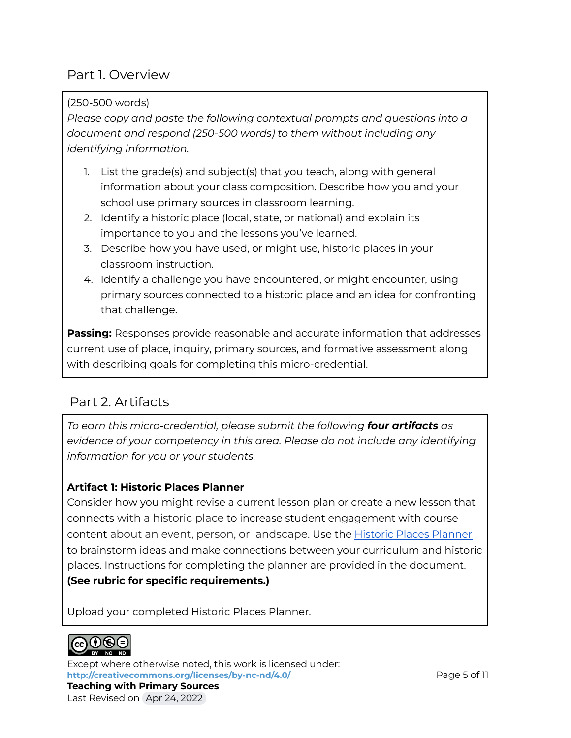### Part 1. Overview

#### (250-500 words)

*Please copy and paste the following contextual prompts and questions into a document and respond (250-500 words) to them without including any identifying information.*

- 1. List the grade(s) and subject(s) that you teach, along with general information about your class composition. Describe how you and your school use primary sources in classroom learning.
- 2. Identify a historic place (local, state, or national) and explain its importance to you and the lessons you've learned.
- 3. Describe how you have used, or might use, historic places in your classroom instruction.
- 4. Identify a challenge you have encountered, or might encounter, using primary sources connected to a historic place and an idea for confronting that challenge.

**Passing:** Responses provide reasonable and accurate information that addresses current use of place, inquiry, primary sources, and formative assessment along with describing goals for completing this micro-credential.

### Part 2. Artifacts

*To earn this micro-credential, please submit the following four artifacts as evidence of your competency in this area. Please do not include any identifying information for you or your students.*

#### **Artifact 1: Historic Places Planner**

Consider how you might revise a current lesson plan or create a new lesson that connects with a historic place to increase student engagement with course content about an event, person, or landscape. Use the Historic Places [Planner](https://docs.google.com/document/d/1xwfralonyes1Oe9kYJQgeCDSwoEmyuE-CzbRlUzF0A4/view) to brainstorm ideas and make connections between your curriculum and historic places. Instructions for completing the planner are provided in the document. **(See rubric for specific requirements.)**

Upload your completed Historic Places Planner.



Except where otherwise noted, this work is licensed under: **<http://creativecommons.org/licenses/by-nc-nd/4.0/>** Page 5 of 11 **Teaching with Primary Sources** Last Revised on Apr 24, 2022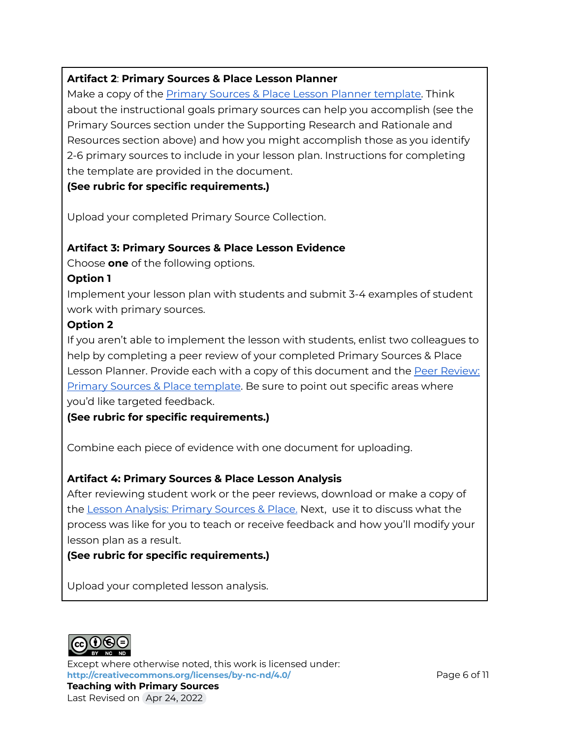#### **Artifact 2**: **Primary Sources & Place Lesson Planner**

Make a copy of the Primary Sources & Place Lesson Planner [template.](https://docs.google.com/document/d/1B3a_56WWyH6Gy1_Cv758wUl5m2mnyjUl_JsTPzMZiKQ/edit?usp=sharing) Think about the instructional goals primary sources can help you accomplish (see the Primary Sources section under the Supporting Research and Rationale and Resources section above) and how you might accomplish those as you identify 2-6 primary sources to include in your lesson plan. Instructions for completing the template are provided in the document.

**(See rubric for specific requirements.)**

Upload your completed Primary Source Collection.

#### **Artifact 3: Primary Sources & Place Lesson Evidence**

Choose **one** of the following options.

#### **Option 1**

Implement your lesson plan with students and submit 3-4 examples of student work with primary sources.

#### **Option 2**

If you aren't able to implement the lesson with students, enlist two colleagues to help by completing a peer review of your completed Primary Sources & Place Lesson Planner. Provide each with a copy of this document and the Peer [Review:](https://docs.google.com/document/d/1r5M60qPC4d7GZ35vBowFUu4cppdtK2DAVUMkVJ-PXEU/view) Primary Sources & Place [template](https://docs.google.com/document/d/1r5M60qPC4d7GZ35vBowFUu4cppdtK2DAVUMkVJ-PXEU/view). Be sure to point out specific areas where you'd like targeted feedback.

**(See rubric for specific requirements.)**

Combine each piece of evidence with one document for uploading.

#### **Artifact 4: Primary Sources & Place Lesson Analysis**

After reviewing student work or the peer reviews, download or make a copy of the Lesson [Analysis:](https://docs.google.com/document/d/1vwBwaVYlyb7G7zRPZzrSek9N18FY-ArFJzwa2KlM860/view) Primary Sources & Place. Next, use it to discuss what the process was like for you to teach or receive feedback and how you'll modify your lesson plan as a result.

#### **(See rubric for specific requirements.)**

Upload your completed lesson analysis.



Except where otherwise noted, this work is licensed under: <http://creativecommons.org/licenses/by-nc-nd/4.0/> **Page 6 of 11 Teaching with Primary Sources** Last Revised on Apr 24, 2022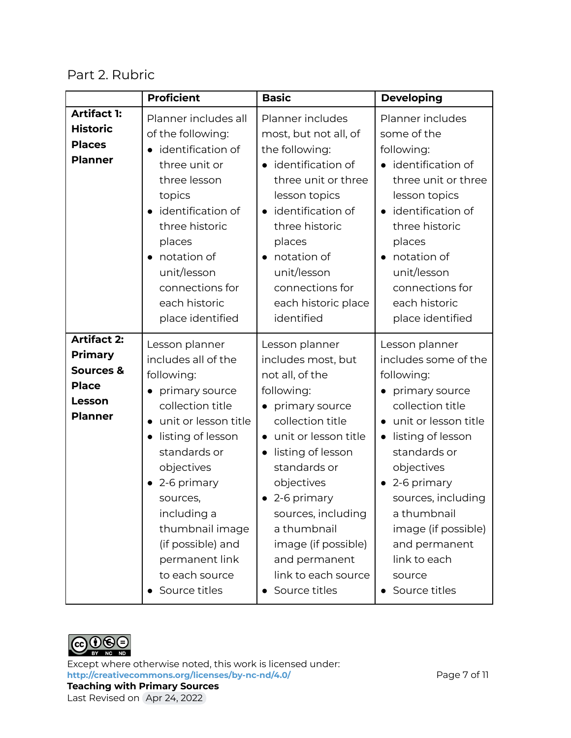### Part 2. Rubric

|                                                                                               | <b>Proficient</b>                                                                                                                                                                                                                                                                                                        | <b>Basic</b>                                                                                                                                                                                                                                                                                                                              | <b>Developing</b>                                                                                                                                                                                                                                                                                                         |
|-----------------------------------------------------------------------------------------------|--------------------------------------------------------------------------------------------------------------------------------------------------------------------------------------------------------------------------------------------------------------------------------------------------------------------------|-------------------------------------------------------------------------------------------------------------------------------------------------------------------------------------------------------------------------------------------------------------------------------------------------------------------------------------------|---------------------------------------------------------------------------------------------------------------------------------------------------------------------------------------------------------------------------------------------------------------------------------------------------------------------------|
| <b>Artifact 1:</b><br><b>Historic</b><br><b>Places</b><br><b>Planner</b>                      | Planner includes all<br>of the following:<br>identification of<br>three unit or<br>three lesson<br>topics<br>identification of<br>three historic<br>places<br>notation of<br>$\bullet$<br>unit/lesson<br>connections for<br>each historic<br>place identified                                                            | Planner includes<br>most, but not all, of<br>the following:<br>identification of<br>three unit or three<br>lesson topics<br>identification of<br>$\bullet$<br>three historic<br>places<br>notation of<br>$\bullet$<br>unit/lesson<br>connections for<br>each historic place<br>identified                                                 | Planner includes<br>some of the<br>following:<br>identification of<br>three unit or three<br>lesson topics<br>identification of<br>$\bullet$<br>three historic<br>places<br>notation of<br>$\bullet$<br>unit/lesson<br>connections for<br>each historic<br>place identified                                               |
| <b>Artifact 2:</b><br><b>Primary</b><br>Sources &<br><b>Place</b><br>Lesson<br><b>Planner</b> | Lesson planner<br>includes all of the<br>following:<br>primary source<br>collection title<br>unit or lesson title<br>$\bullet$<br>listing of lesson<br>standards or<br>objectives<br>2-6 primary<br>sources,<br>including a<br>thumbnail image<br>(if possible) and<br>permanent link<br>to each source<br>Source titles | Lesson planner<br>includes most, but<br>not all, of the<br>following:<br>primary source<br>collection title<br>• unit or lesson title<br>listing of lesson<br>$\bullet$<br>standards or<br>objectives<br>2-6 primary<br>sources, including<br>a thumbnail<br>image (if possible)<br>and permanent<br>link to each source<br>Source titles | Lesson planner<br>includes some of the<br>following:<br>primary source<br>collection title<br>unit or lesson title<br>listing of lesson<br>$\bullet$<br>standards or<br>objectives<br>2-6 primary<br>sources, including<br>a thumbnail<br>image (if possible)<br>and permanent<br>link to each<br>source<br>Source titles |



Except where otherwise noted, this work is licensed under: <http://creativecommons.org/licenses/by-nc-nd/4.0/><br>
Page 7 of 11 **Teaching with Primary Sources** Last Revised on Apr 24, 2022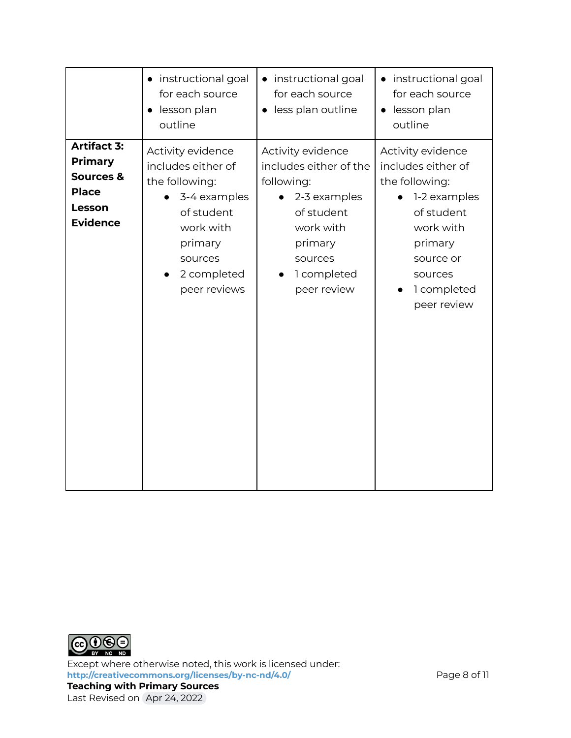|                                                                                                           | instructional goal<br>$\bullet$<br>for each source<br>lesson plan<br>$\bullet$<br>outline                                                                 | • instructional goal<br>for each source<br>· less plan outline                                                                                           | • instructional goal<br>for each source<br>lesson plan<br>$\bullet$<br>outline                                                                                        |
|-----------------------------------------------------------------------------------------------------------|-----------------------------------------------------------------------------------------------------------------------------------------------------------|----------------------------------------------------------------------------------------------------------------------------------------------------------|-----------------------------------------------------------------------------------------------------------------------------------------------------------------------|
| <b>Artifact 3:</b><br><b>Primary</b><br><b>Sources &amp;</b><br><b>Place</b><br>Lesson<br><b>Evidence</b> | Activity evidence<br>includes either of<br>the following:<br>3-4 examples<br>of student<br>work with<br>primary<br>sources<br>2 completed<br>peer reviews | Activity evidence<br>includes either of the<br>following:<br>2-3 examples<br>of student<br>work with<br>primary<br>sources<br>1 completed<br>peer review | Activity evidence<br>includes either of<br>the following:<br>1-2 examples<br>of student<br>work with<br>primary<br>source or<br>sources<br>1 completed<br>peer review |



Except where otherwise noted, this work is licensed under: **<http://creativecommons.org/licenses/by-nc-nd/4.0/>** Page 8 of 11 **Teaching with Primary Sources** Last Revised on Apr 24, 2022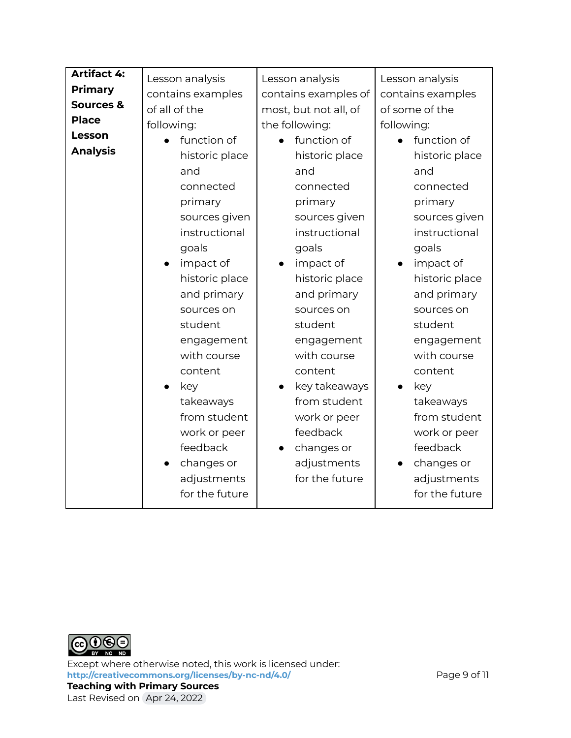| <b>Artifact 4:</b> |                   |                       |                         |
|--------------------|-------------------|-----------------------|-------------------------|
| <b>Primary</b>     | Lesson analysis   | Lesson analysis       | Lesson analysis         |
| Sources &          | contains examples | contains examples of  | contains examples       |
| <b>Place</b>       | of all of the     | most, but not all, of | of some of the          |
|                    | following:        | the following:        | following:              |
| Lesson             | function of       | function of           | function of             |
| <b>Analysis</b>    | historic place    | historic place        | historic place          |
|                    | and               | and                   | and                     |
|                    | connected         | connected             | connected               |
|                    | primary           | primary               | primary                 |
|                    | sources given     | sources given         | sources given           |
|                    | instructional     | instructional         | instructional           |
|                    | goals             | goals                 | goals                   |
|                    | impact of         | impact of             | impact of               |
|                    | historic place    | historic place        | historic place          |
|                    | and primary       | and primary           | and primary             |
|                    | sources on        | sources on            | sources on              |
|                    | student           | student               | student                 |
|                    | engagement        | engagement            | engagement              |
|                    | with course       | with course           | with course             |
|                    | content           | content               | content                 |
|                    | key               | key takeaways         | key                     |
|                    | takeaways         | from student          | takeaways               |
|                    | from student      | work or peer          | from student            |
|                    | work or peer      | feedback              | work or peer            |
|                    | feedback          | changes or            | feedback                |
|                    | changes or        | adjustments           | changes or<br>$\bullet$ |
|                    | adjustments       | for the future        | adjustments             |
|                    | for the future    |                       | for the future          |



Except where otherwise noted, this work is licensed under: **<http://creativecommons.org/licenses/by-nc-nd/4.0/>** Page 9 of 11 **Teaching with Primary Sources** Last Revised on Apr 24, 2022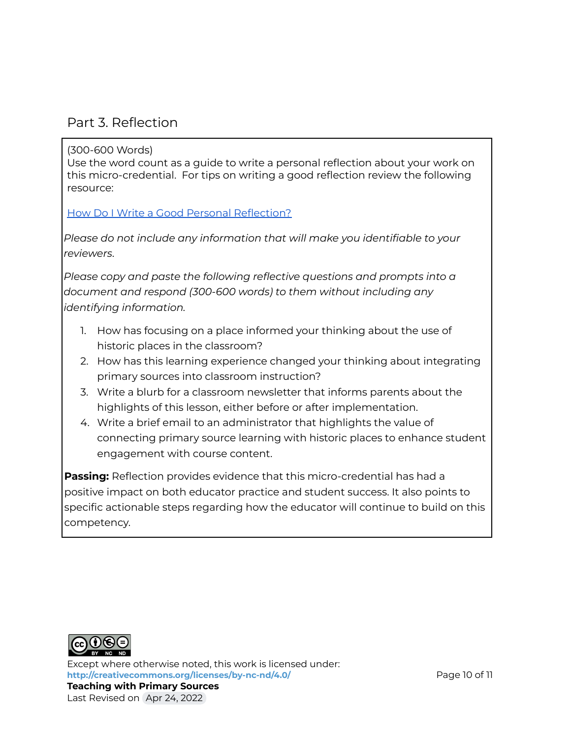### Part 3. Reflection

#### (300-600 Words)

Use the word count as a guide to write a personal reflection about your work on this micro-credential. For tips on writing a good reflection review the following resource:

How Do I Write a Good Personal [Reflection?](https://isthismystory.com/learning/how-do-i-write-a-good-personal-reflection/)

*Please do not include any information that will make you identifiable to your reviewers*.

*Please copy and paste the following reflective questions and prompts into a document and respond (300-600 words) to them without including any identifying information.*

- 1. How has focusing on a place informed your thinking about the use of historic places in the classroom?
- 2. How has this learning experience changed your thinking about integrating primary sources into classroom instruction?
- 3. Write a blurb for a classroom newsletter that informs parents about the highlights of this lesson, either before or after implementation.
- 4. Write a brief email to an administrator that highlights the value of connecting primary source learning with historic places to enhance student engagement with course content.

**Passing:** Reflection provides evidence that this micro-credential has had a positive impact on both educator practice and student success. It also points to specific actionable steps regarding how the educator will continue to build on this competency.



Except where otherwise noted, this work is licensed under: <http://creativecommons.org/licenses/by-nc-nd/4.0/> **Page 10 of 11 Teaching with Primary Sources** Last Revised on Apr 24, 2022